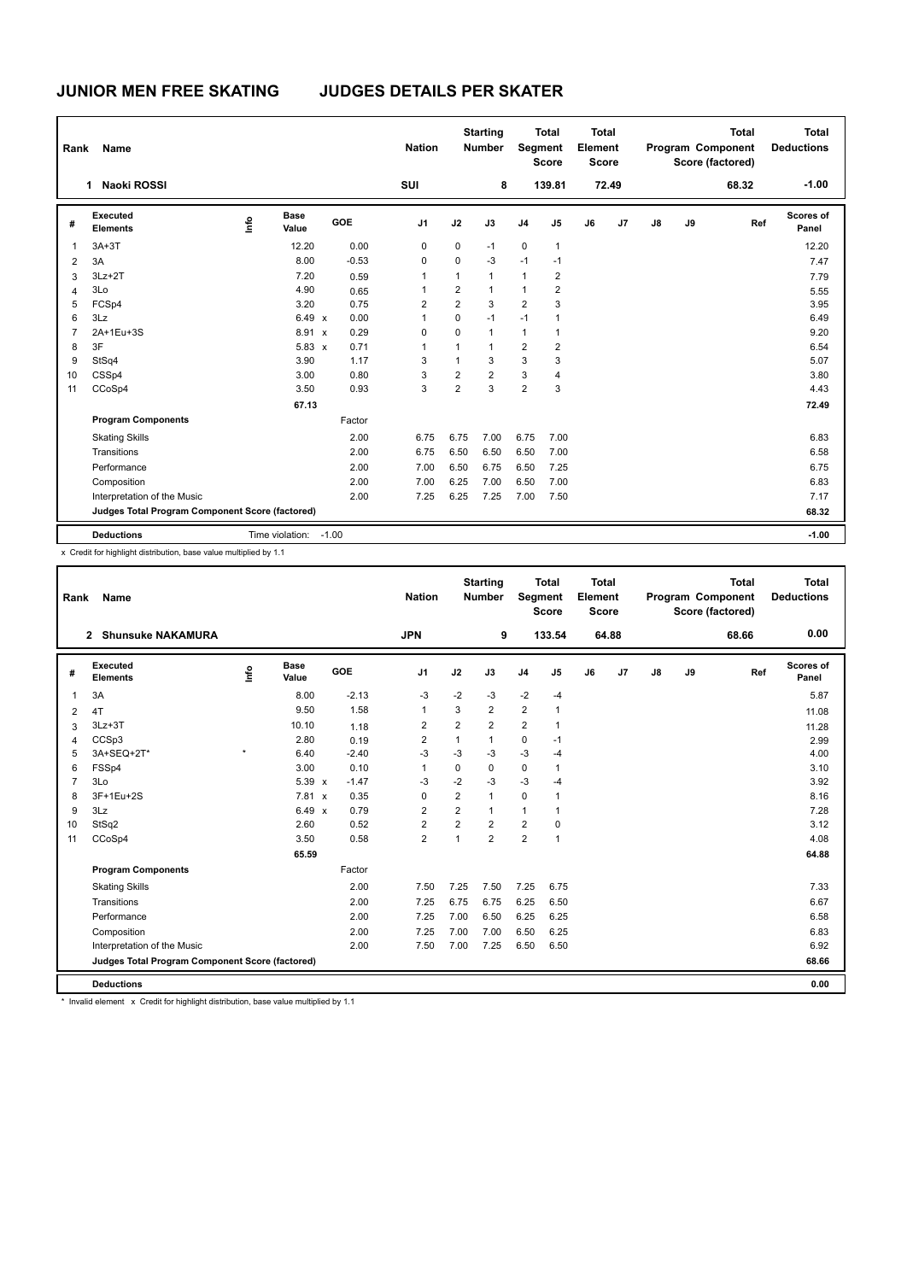| Rank           | Name                                            |                                  |                      |            | <b>Nation</b>  |                | <b>Starting</b><br><b>Number</b> | Segment        | <b>Total</b><br><b>Score</b> | <b>Total</b><br>Element<br><b>Score</b> |       |               |    | <b>Total</b><br>Program Component<br>Score (factored) | <b>Total</b><br><b>Deductions</b> |
|----------------|-------------------------------------------------|----------------------------------|----------------------|------------|----------------|----------------|----------------------------------|----------------|------------------------------|-----------------------------------------|-------|---------------|----|-------------------------------------------------------|-----------------------------------|
|                | <b>Naoki ROSSI</b><br>1                         |                                  |                      |            | SUI            |                | 8                                |                | 139.81                       |                                         | 72.49 |               |    | 68.32                                                 | $-1.00$                           |
| #              | Executed<br><b>Elements</b>                     | $\mathop{\mathsf{Irr}}\nolimits$ | <b>Base</b><br>Value | <b>GOE</b> | J <sub>1</sub> | J2             | J3                               | J <sub>4</sub> | J5                           | J6                                      | J7    | $\mathsf{J}8$ | J9 | Ref                                                   | Scores of<br>Panel                |
| -1             | $3A+3T$                                         |                                  | 12.20                | 0.00       | 0              | $\mathbf 0$    | $-1$                             | $\mathbf 0$    | 1                            |                                         |       |               |    |                                                       | 12.20                             |
| $\overline{2}$ | 3A                                              |                                  | 8.00                 | $-0.53$    | 0              | $\mathbf 0$    | $-3$                             | $-1$           | $-1$                         |                                         |       |               |    |                                                       | 7.47                              |
| 3              | $3Lz + 2T$                                      |                                  | 7.20                 | 0.59       | 1              | 1              | $\mathbf{1}$                     | $\mathbf{1}$   | 2                            |                                         |       |               |    |                                                       | 7.79                              |
| 4              | 3Lo                                             |                                  | 4.90                 | 0.65       | 1              | 2              | $\mathbf{1}$                     | $\mathbf{1}$   | $\overline{\mathbf{c}}$      |                                         |       |               |    |                                                       | 5.55                              |
| 5              | FCSp4                                           |                                  | 3.20                 | 0.75       | 2              | $\overline{2}$ | 3                                | 2              | 3                            |                                         |       |               |    |                                                       | 3.95                              |
| 6              | 3Lz                                             |                                  | $6.49 \times$        | 0.00       | 1              | $\Omega$       | $-1$                             | $-1$           | $\mathbf{1}$                 |                                         |       |               |    |                                                       | 6.49                              |
| $\overline{7}$ | 2A+1Eu+3S                                       |                                  | 8.91 x               | 0.29       | 0              | $\mathbf 0$    | $\mathbf{1}$                     | $\mathbf{1}$   | 1                            |                                         |       |               |    |                                                       | 9.20                              |
| 8              | 3F                                              |                                  | $5.83 \times$        | 0.71       | 1              | 1              | $\mathbf{1}$                     | $\overline{2}$ | 2                            |                                         |       |               |    |                                                       | 6.54                              |
| 9              | StSq4                                           |                                  | 3.90                 | 1.17       | 3              | $\mathbf{1}$   | 3                                | 3              | 3                            |                                         |       |               |    |                                                       | 5.07                              |
| 10             | CSSp4                                           |                                  | 3.00                 | 0.80       | 3              | 2              | $\overline{2}$                   | 3              | 4                            |                                         |       |               |    |                                                       | 3.80                              |
| 11             | CCoSp4                                          |                                  | 3.50                 | 0.93       | 3              | $\overline{2}$ | 3                                | $\overline{2}$ | 3                            |                                         |       |               |    |                                                       | 4.43                              |
|                |                                                 |                                  | 67.13                |            |                |                |                                  |                |                              |                                         |       |               |    |                                                       | 72.49                             |
|                | <b>Program Components</b>                       |                                  |                      | Factor     |                |                |                                  |                |                              |                                         |       |               |    |                                                       |                                   |
|                | <b>Skating Skills</b>                           |                                  |                      | 2.00       | 6.75           | 6.75           | 7.00                             | 6.75           | 7.00                         |                                         |       |               |    |                                                       | 6.83                              |
|                | Transitions                                     |                                  |                      | 2.00       | 6.75           | 6.50           | 6.50                             | 6.50           | 7.00                         |                                         |       |               |    |                                                       | 6.58                              |
|                | Performance                                     |                                  |                      | 2.00       | 7.00           | 6.50           | 6.75                             | 6.50           | 7.25                         |                                         |       |               |    |                                                       | 6.75                              |
|                | Composition                                     |                                  |                      | 2.00       | 7.00           | 6.25           | 7.00                             | 6.50           | 7.00                         |                                         |       |               |    |                                                       | 6.83                              |
|                | Interpretation of the Music                     |                                  |                      | 2.00       | 7.25           | 6.25           | 7.25                             | 7.00           | 7.50                         |                                         |       |               |    |                                                       | 7.17                              |
|                | Judges Total Program Component Score (factored) |                                  |                      |            |                |                |                                  |                |                              |                                         |       |               |    |                                                       | 68.32                             |
|                | <b>Deductions</b>                               | Time violation:                  |                      | $-1.00$    |                |                |                                  |                |                              |                                         |       |               |    |                                                       | $-1.00$                           |

x Credit for highlight distribution, base value multiplied by 1.1

| Rank           | Name                                            |         |                      |                      | <b>Nation</b>  |                | <b>Starting</b><br><b>Number</b> | Segment        | <b>Total</b><br><b>Score</b> | <b>Total</b><br>Element<br><b>Score</b> |       |    |    | <b>Total</b><br>Program Component<br>Score (factored) | <b>Total</b><br><b>Deductions</b> |
|----------------|-------------------------------------------------|---------|----------------------|----------------------|----------------|----------------|----------------------------------|----------------|------------------------------|-----------------------------------------|-------|----|----|-------------------------------------------------------|-----------------------------------|
|                | 2 Shunsuke NAKAMURA                             |         |                      |                      | <b>JPN</b>     |                | 9                                |                | 133.54                       |                                         | 64.88 |    |    | 68.66                                                 | 0.00                              |
| #              | Executed<br><b>Elements</b>                     | Info    | <b>Base</b><br>Value | GOE                  | J <sub>1</sub> | J2             | J3                               | J <sub>4</sub> | J5                           | J6                                      | J7    | J8 | J9 | Ref                                                   | Scores of<br>Panel                |
| $\mathbf{1}$   | 3A                                              |         | 8.00                 | $-2.13$              | $-3$           | $-2$           | $-3$                             | $-2$           | $-4$                         |                                         |       |    |    |                                                       | 5.87                              |
| 2              | 4T                                              |         | 9.50                 | 1.58                 | 1              | 3              | $\overline{2}$                   | $\overline{2}$ | 1                            |                                         |       |    |    |                                                       | 11.08                             |
| 3              | $3Lz + 3T$                                      |         | 10.10                | 1.18                 | $\overline{2}$ | $\overline{2}$ | $\overline{2}$                   | $\overline{2}$ | $\mathbf{1}$                 |                                         |       |    |    |                                                       | 11.28                             |
| 4              | CCSp3                                           |         | 2.80                 | 0.19                 | $\overline{2}$ | $\mathbf{1}$   | $\mathbf{1}$                     | $\mathbf 0$    | $-1$                         |                                         |       |    |    |                                                       | 2.99                              |
| 5              | 3A+SEQ+2T*                                      | $\star$ | 6.40                 | $-2.40$              | $-3$           | $-3$           | $-3$                             | $-3$           | $-4$                         |                                         |       |    |    |                                                       | 4.00                              |
| 6              | FSSp4                                           |         | 3.00                 | 0.10                 | $\mathbf{1}$   | $\Omega$       | 0                                | $\mathbf 0$    | 1                            |                                         |       |    |    |                                                       | 3.10                              |
| $\overline{7}$ | 3Lo                                             |         | 5.39 x               | $-1.47$              | $-3$           | $-2$           | $-3$                             | $-3$           | $-4$                         |                                         |       |    |    |                                                       | 3.92                              |
| 8              | 3F+1Eu+2S                                       |         | 7.81 x               | 0.35                 | $\Omega$       | $\overline{2}$ | 1                                | $\Omega$       | 1                            |                                         |       |    |    |                                                       | 8.16                              |
| 9              | 3Lz                                             |         | 6.49                 | 0.79<br>$\mathsf{x}$ | $\overline{2}$ | $\overline{2}$ | 1                                | $\mathbf{1}$   | 1                            |                                         |       |    |    |                                                       | 7.28                              |
| 10             | StSq2                                           |         | 2.60                 | 0.52                 | $\overline{2}$ | $\overline{2}$ | $\overline{2}$                   | $\overline{2}$ | $\Omega$                     |                                         |       |    |    |                                                       | 3.12                              |
| 11             | CCoSp4                                          |         | 3.50                 | 0.58                 | $\overline{2}$ | $\overline{1}$ | $\overline{2}$                   | $\overline{2}$ | $\mathbf{1}$                 |                                         |       |    |    |                                                       | 4.08                              |
|                |                                                 |         | 65.59                |                      |                |                |                                  |                |                              |                                         |       |    |    |                                                       | 64.88                             |
|                | <b>Program Components</b>                       |         |                      | Factor               |                |                |                                  |                |                              |                                         |       |    |    |                                                       |                                   |
|                | <b>Skating Skills</b>                           |         |                      | 2.00                 | 7.50           | 7.25           | 7.50                             | 7.25           | 6.75                         |                                         |       |    |    |                                                       | 7.33                              |
|                | Transitions                                     |         |                      | 2.00                 | 7.25           | 6.75           | 6.75                             | 6.25           | 6.50                         |                                         |       |    |    |                                                       | 6.67                              |
|                | Performance                                     |         |                      | 2.00                 | 7.25           | 7.00           | 6.50                             | 6.25           | 6.25                         |                                         |       |    |    |                                                       | 6.58                              |
|                | Composition                                     |         |                      | 2.00                 | 7.25           | 7.00           | 7.00                             | 6.50           | 6.25                         |                                         |       |    |    |                                                       | 6.83                              |
|                | Interpretation of the Music                     |         |                      | 2.00                 | 7.50           | 7.00           | 7.25                             | 6.50           | 6.50                         |                                         |       |    |    |                                                       | 6.92                              |
|                | Judges Total Program Component Score (factored) |         |                      |                      |                |                |                                  |                |                              |                                         |       |    |    |                                                       | 68.66                             |
|                | <b>Deductions</b>                               |         |                      |                      |                |                |                                  |                |                              |                                         |       |    |    |                                                       | 0.00                              |

\* Invalid element x Credit for highlight distribution, base value multiplied by 1.1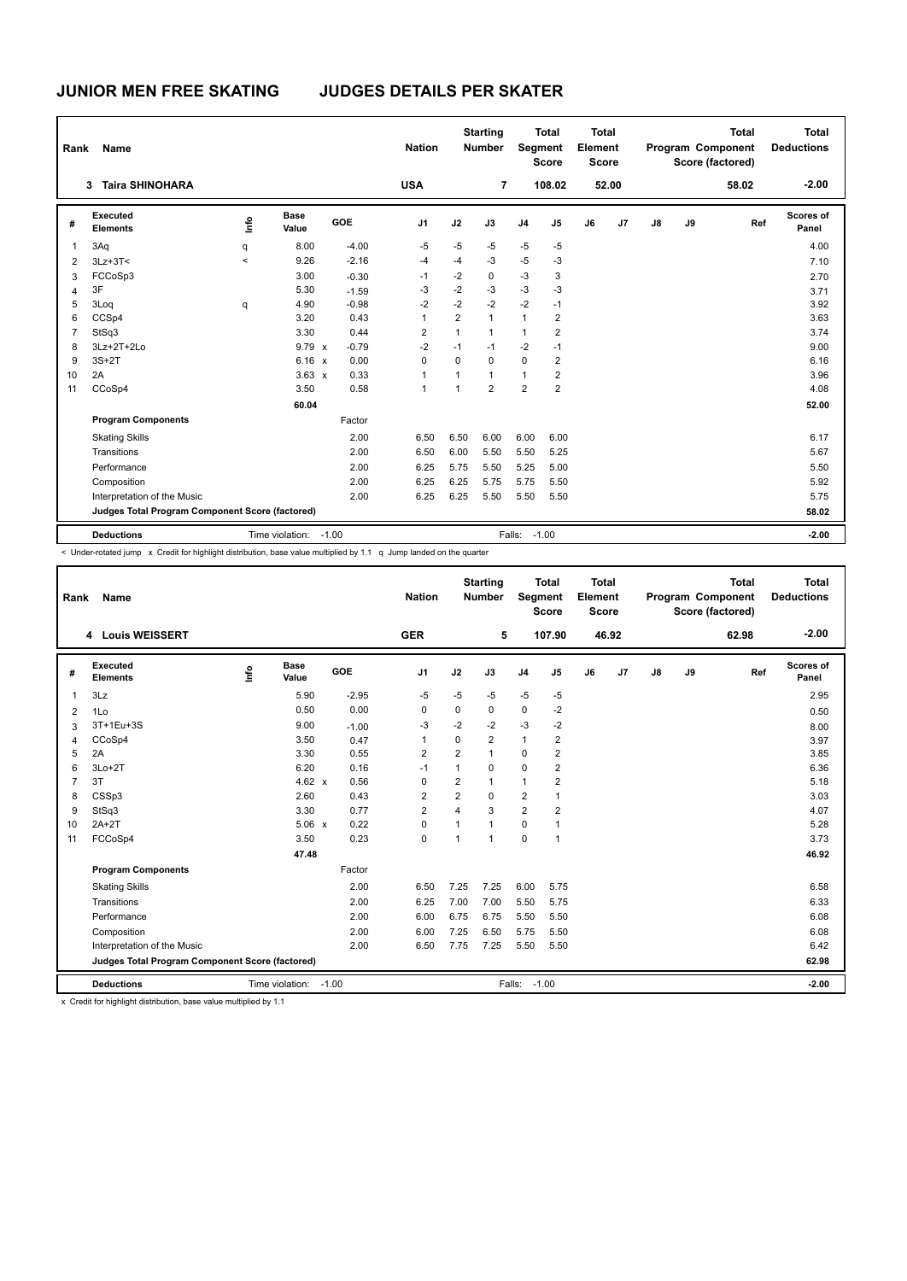| Rank           | <b>Name</b>                                     |                          |                       |            | <b>Nation</b>  | <b>Total</b><br><b>Total</b><br>Element<br>Segment<br><b>Score</b><br><b>Score</b><br>52.00<br>108.02 |                |                | <b>Total</b><br>Program Component<br>Score (factored) |    |    | Total<br><b>Deductions</b> |    |       |                           |
|----------------|-------------------------------------------------|--------------------------|-----------------------|------------|----------------|-------------------------------------------------------------------------------------------------------|----------------|----------------|-------------------------------------------------------|----|----|----------------------------|----|-------|---------------------------|
|                | <b>Taira SHINOHARA</b><br>3                     |                          |                       |            | <b>USA</b>     |                                                                                                       | $\overline{7}$ |                |                                                       |    |    |                            |    | 58.02 | $-2.00$                   |
| #              | Executed<br><b>Elements</b>                     | ١mfo                     | <b>Base</b><br>Value  | <b>GOE</b> | J <sub>1</sub> | J2                                                                                                    | J3             | J <sub>4</sub> | J5                                                    | J6 | J7 | J8                         | J9 | Ref   | <b>Scores of</b><br>Panel |
| $\overline{1}$ | 3Aq                                             | q                        | 8.00                  | $-4.00$    | $-5$           | -5                                                                                                    | -5             | $-5$           | $-5$                                                  |    |    |                            |    |       | 4.00                      |
| 2              | $3Lz + 3T <$                                    | $\overline{\phantom{0}}$ | 9.26                  | $-2.16$    | $-4$           | $-4$                                                                                                  | $-3$           | $-5$           | $-3$                                                  |    |    |                            |    |       | 7.10                      |
| 3              | FCCoSp3                                         |                          | 3.00                  | $-0.30$    | $-1$           | $-2$                                                                                                  | 0              | $-3$           | 3                                                     |    |    |                            |    |       | 2.70                      |
| 4              | 3F                                              |                          | 5.30                  | $-1.59$    | $-3$           | $-2$                                                                                                  | $-3$           | $-3$           | $-3$                                                  |    |    |                            |    |       | 3.71                      |
| 5              | 3Log                                            | q                        | 4.90                  | $-0.98$    | $-2$           | $-2$                                                                                                  | $-2$           | $-2$           | $-1$                                                  |    |    |                            |    |       | 3.92                      |
| 6              | CCSp4                                           |                          | 3.20                  | 0.43       | 1              | $\overline{2}$                                                                                        | $\mathbf{1}$   | $\mathbf{1}$   | $\overline{2}$                                        |    |    |                            |    |       | 3.63                      |
| $\overline{7}$ | StSq3                                           |                          | 3.30                  | 0.44       | $\overline{2}$ | $\mathbf{1}$                                                                                          | $\mathbf{1}$   | $\mathbf{1}$   | $\overline{2}$                                        |    |    |                            |    |       | 3.74                      |
| 8              | 3Lz+2T+2Lo                                      |                          | 9.79 x                | $-0.79$    | $-2$           | $-1$                                                                                                  | $-1$           | $-2$           | $-1$                                                  |    |    |                            |    |       | 9.00                      |
| 9              | $3S+2T$                                         |                          | $6.16 \times$         | 0.00       | 0              | $\Omega$                                                                                              | $\mathbf 0$    | $\mathbf 0$    | $\overline{2}$                                        |    |    |                            |    |       | 6.16                      |
| 10             | 2A                                              |                          | $3.63 \times$         | 0.33       | 1              | $\mathbf{1}$                                                                                          | $\mathbf{1}$   | $\mathbf{1}$   | $\overline{2}$                                        |    |    |                            |    |       | 3.96                      |
| 11             | CCoSp4                                          |                          | 3.50                  | 0.58       | $\mathbf{1}$   | $\mathbf{1}$                                                                                          | $\overline{2}$ | $\overline{2}$ | $\overline{2}$                                        |    |    |                            |    |       | 4.08                      |
|                |                                                 |                          | 60.04                 |            |                |                                                                                                       |                |                |                                                       |    |    |                            |    |       | 52.00                     |
|                | <b>Program Components</b>                       |                          |                       | Factor     |                |                                                                                                       |                |                |                                                       |    |    |                            |    |       |                           |
|                | <b>Skating Skills</b>                           |                          |                       | 2.00       | 6.50           | 6.50                                                                                                  | 6.00           | 6.00           | 6.00                                                  |    |    |                            |    |       | 6.17                      |
|                | Transitions                                     |                          |                       | 2.00       | 6.50           | 6.00                                                                                                  | 5.50           | 5.50           | 5.25                                                  |    |    |                            |    |       | 5.67                      |
|                | Performance                                     |                          |                       | 2.00       | 6.25           | 5.75                                                                                                  | 5.50           | 5.25           | 5.00                                                  |    |    |                            |    |       | 5.50                      |
|                | Composition                                     |                          |                       | 2.00       | 6.25           | 6.25                                                                                                  | 5.75           | 5.75           | 5.50                                                  |    |    |                            |    |       | 5.92                      |
|                | Interpretation of the Music                     |                          |                       | 2.00       | 6.25           | 6.25                                                                                                  | 5.50           | 5.50           | 5.50                                                  |    |    |                            |    |       | 5.75                      |
|                | Judges Total Program Component Score (factored) |                          |                       |            |                |                                                                                                       |                |                |                                                       |    |    |                            |    |       | 58.02                     |
|                | <b>Deductions</b>                               |                          | Time violation: -1.00 |            |                |                                                                                                       |                | Falls: -1.00   |                                                       |    |    |                            |    |       | $-2.00$                   |

< Under-rotated jump x Credit for highlight distribution, base value multiplied by 1.1 q Jump landed on the quarter

| Rank            | <b>Name</b>                                     |      | <b>Starting</b><br><b>Nation</b><br><b>Number</b> |         |                | Segment        | <b>Total</b><br><b>Score</b> | Total<br>Element<br><b>Score</b> |                |    |                | <b>Total</b><br>Program Component<br>Score (factored) | Total<br><b>Deductions</b> |       |                    |
|-----------------|-------------------------------------------------|------|---------------------------------------------------|---------|----------------|----------------|------------------------------|----------------------------------|----------------|----|----------------|-------------------------------------------------------|----------------------------|-------|--------------------|
|                 | 4 Louis WEISSERT                                |      |                                                   |         | <b>GER</b>     |                | 5                            |                                  | 107.90         |    | 46.92          |                                                       |                            | 62.98 | $-2.00$            |
| #               | Executed<br><b>Elements</b>                     | lnfo | <b>Base</b><br>Value                              | GOE     | J <sub>1</sub> | J2             | J3                           | J <sub>4</sub>                   | J5             | J6 | J <sub>7</sub> | J8                                                    | J9                         | Ref   | Scores of<br>Panel |
| $\overline{1}$  | 3Lz                                             |      | 5.90                                              | $-2.95$ | $-5$           | $-5$           | $-5$                         | $-5$                             | $-5$           |    |                |                                                       |                            |       | 2.95               |
| 2               | 1Lo                                             |      | 0.50                                              | 0.00    | $\mathbf 0$    | 0              | 0                            | $\mathbf 0$                      | $-2$           |    |                |                                                       |                            |       | 0.50               |
| 3               | 3T+1Eu+3S                                       |      | 9.00                                              | $-1.00$ | -3             | $-2$           | $-2$                         | $-3$                             | $-2$           |    |                |                                                       |                            |       | 8.00               |
| 4               | CCoSp4                                          |      | 3.50                                              | 0.47    | $\overline{1}$ | $\Omega$       | $\overline{2}$               | $\mathbf{1}$                     | $\overline{2}$ |    |                |                                                       |                            |       | 3.97               |
| 5               | 2A                                              |      | 3.30                                              | 0.55    | 2              | $\overline{2}$ | 1                            | $\Omega$                         | $\overline{2}$ |    |                |                                                       |                            |       | 3.85               |
| 6               | $3Lo+2T$                                        |      | 6.20                                              | 0.16    | $-1$           | 1              | $\Omega$                     | $\Omega$                         | $\overline{2}$ |    |                |                                                       |                            |       | 6.36               |
| $\overline{7}$  | 3T                                              |      | $4.62 \times$                                     | 0.56    | $\mathbf 0$    | $\overline{2}$ | 1                            | $\mathbf{1}$                     | $\overline{2}$ |    |                |                                                       |                            |       | 5.18               |
| 8               | CSSp3                                           |      | 2.60                                              | 0.43    | $\overline{2}$ | $\overline{2}$ | $\Omega$                     | $\overline{2}$                   | 1              |    |                |                                                       |                            |       | 3.03               |
| 9               | StSq3                                           |      | 3.30                                              | 0.77    | $\overline{2}$ | 4              | 3                            | $\overline{2}$                   | 2              |    |                |                                                       |                            |       | 4.07               |
| 10 <sup>1</sup> | $2A+2T$                                         |      | 5.06 x                                            | 0.22    | $\Omega$       | 1              | 1                            | $\Omega$                         | $\mathbf{1}$   |    |                |                                                       |                            |       | 5.28               |
| 11              | FCCoSp4                                         |      | 3.50                                              | 0.23    | $\mathbf 0$    | $\overline{1}$ | 1                            | $\mathbf 0$                      | $\mathbf{1}$   |    |                |                                                       |                            |       | 3.73               |
|                 |                                                 |      | 47.48                                             |         |                |                |                              |                                  |                |    |                |                                                       |                            |       | 46.92              |
|                 | <b>Program Components</b>                       |      |                                                   | Factor  |                |                |                              |                                  |                |    |                |                                                       |                            |       |                    |
|                 | <b>Skating Skills</b>                           |      |                                                   | 2.00    | 6.50           | 7.25           | 7.25                         | 6.00                             | 5.75           |    |                |                                                       |                            |       | 6.58               |
|                 | Transitions                                     |      |                                                   | 2.00    | 6.25           | 7.00           | 7.00                         | 5.50                             | 5.75           |    |                |                                                       |                            |       | 6.33               |
|                 | Performance                                     |      |                                                   | 2.00    | 6.00           | 6.75           | 6.75                         | 5.50                             | 5.50           |    |                |                                                       |                            |       | 6.08               |
|                 | Composition                                     |      |                                                   | 2.00    | 6.00           | 7.25           | 6.50                         | 5.75                             | 5.50           |    |                |                                                       |                            |       | 6.08               |
|                 | Interpretation of the Music                     |      |                                                   | 2.00    | 6.50           | 7.75           | 7.25                         | 5.50                             | 5.50           |    |                |                                                       |                            |       | 6.42               |
|                 | Judges Total Program Component Score (factored) |      |                                                   |         |                |                |                              |                                  |                |    |                |                                                       |                            |       | 62.98              |
|                 | <b>Deductions</b>                               |      | Time violation:                                   | $-1.00$ |                |                |                              | Falls:                           | $-1.00$        |    |                |                                                       |                            |       | $-2.00$            |

x Credit for highlight distribution, base value multiplied by 1.1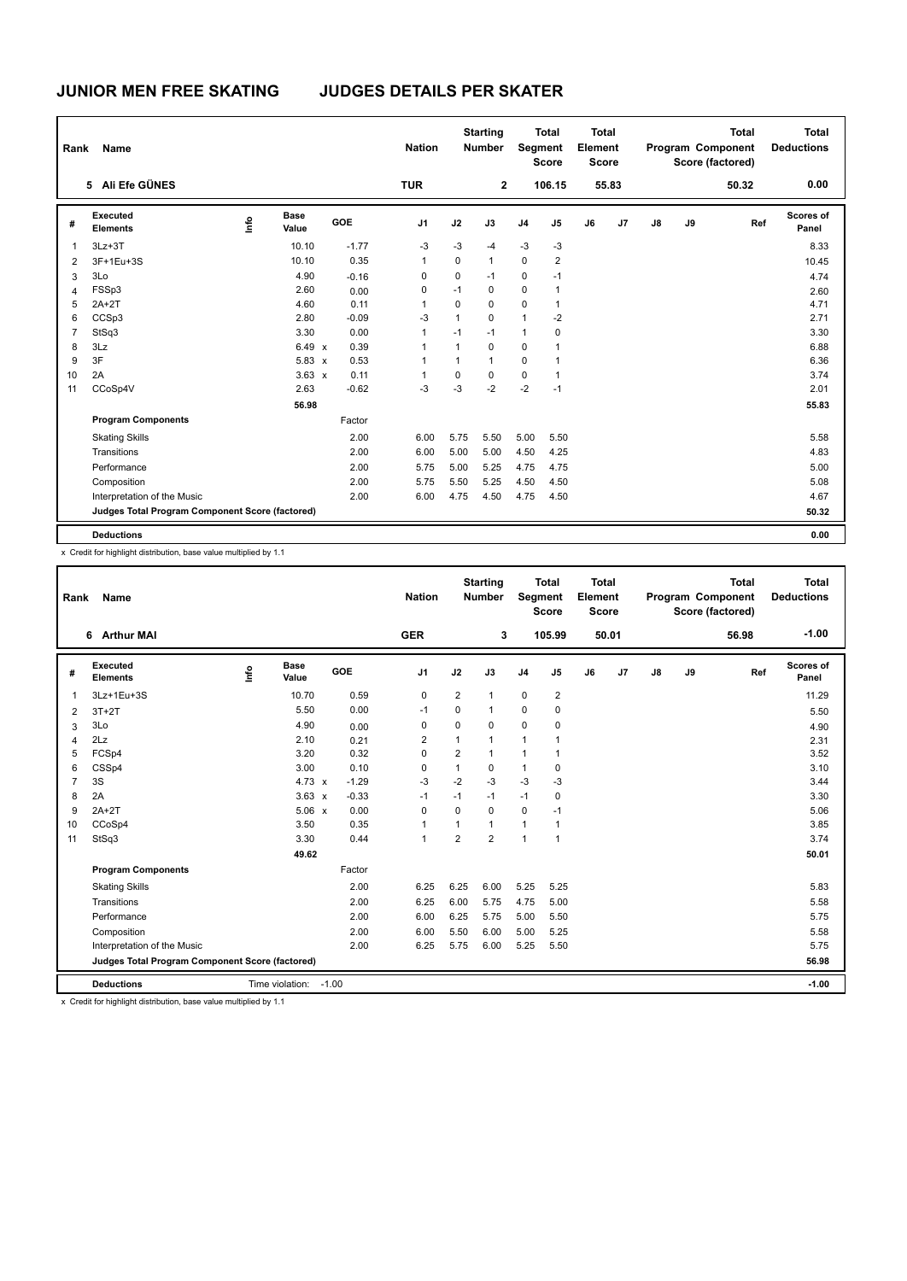| Rank           | Name                                            |      |                      |         | <b>Nation</b>  |              | <b>Starting</b><br><b>Number</b> |                | <b>Total</b><br><b>Segment</b><br><b>Score</b> | <b>Total</b><br>Element<br><b>Score</b> |       |               |    | <b>Total</b><br>Program Component<br>Score (factored) | <b>Total</b><br><b>Deductions</b> |
|----------------|-------------------------------------------------|------|----------------------|---------|----------------|--------------|----------------------------------|----------------|------------------------------------------------|-----------------------------------------|-------|---------------|----|-------------------------------------------------------|-----------------------------------|
|                | 5 Ali Efe GÜNES                                 |      |                      |         | <b>TUR</b>     |              | $\mathbf{2}$                     |                | 106.15                                         |                                         | 55.83 |               |    | 50.32                                                 | 0.00                              |
| #              | Executed<br><b>Elements</b>                     | ١mfo | <b>Base</b><br>Value | GOE     | J <sub>1</sub> | J2           | J3                               | J <sub>4</sub> | J5                                             | J6                                      | J7    | $\mathsf{J}8$ | J9 | Ref                                                   | Scores of<br>Panel                |
| $\overline{1}$ | $3Lz + 3T$                                      |      | 10.10                | $-1.77$ | $-3$           | $-3$         | $-4$                             | $-3$           | $-3$                                           |                                         |       |               |    |                                                       | 8.33                              |
| $\overline{2}$ | 3F+1Eu+3S                                       |      | 10.10                | 0.35    | 1              | 0            | $\overline{1}$                   | $\mathbf 0$    | $\overline{2}$                                 |                                         |       |               |    |                                                       | 10.45                             |
| 3              | 3Lo                                             |      | 4.90                 | $-0.16$ | 0              | 0            | $-1$                             | 0              | $-1$                                           |                                         |       |               |    |                                                       | 4.74                              |
| 4              | FSSp3                                           |      | 2.60                 | 0.00    | 0              | $-1$         | 0                                | $\mathbf 0$    | 1                                              |                                         |       |               |    |                                                       | 2.60                              |
| 5              | $2A+2T$                                         |      | 4.60                 | 0.11    |                | 0            | $\Omega$                         | 0              | $\mathbf{1}$                                   |                                         |       |               |    |                                                       | 4.71                              |
| 6              | CCSp3                                           |      | 2.80                 | $-0.09$ | -3             | $\mathbf{1}$ | 0                                | $\mathbf{1}$   | $-2$                                           |                                         |       |               |    |                                                       | 2.71                              |
| $\overline{7}$ | StSq3                                           |      | 3.30                 | 0.00    | 1              | $-1$         | $-1$                             | $\mathbf{1}$   | 0                                              |                                         |       |               |    |                                                       | 3.30                              |
| 8              | 3Lz                                             |      | 6.49 x               | 0.39    | 1              | 1            | $\mathbf 0$                      | 0              | 1                                              |                                         |       |               |    |                                                       | 6.88                              |
| 9              | 3F                                              |      | 5.83 x               | 0.53    |                | 1            | $\mathbf{1}$                     | 0              | 1                                              |                                         |       |               |    |                                                       | 6.36                              |
| 10             | 2A                                              |      | $3.63 \times$        | 0.11    |                | 0            | 0                                | 0              | 1                                              |                                         |       |               |    |                                                       | 3.74                              |
| 11             | CCoSp4V                                         |      | 2.63                 | $-0.62$ | $-3$           | $-3$         | $-2$                             | $-2$           | $-1$                                           |                                         |       |               |    |                                                       | 2.01                              |
|                |                                                 |      | 56.98                |         |                |              |                                  |                |                                                |                                         |       |               |    |                                                       | 55.83                             |
|                | <b>Program Components</b>                       |      |                      | Factor  |                |              |                                  |                |                                                |                                         |       |               |    |                                                       |                                   |
|                | <b>Skating Skills</b>                           |      |                      | 2.00    | 6.00           | 5.75         | 5.50                             | 5.00           | 5.50                                           |                                         |       |               |    |                                                       | 5.58                              |
|                | Transitions                                     |      |                      | 2.00    | 6.00           | 5.00         | 5.00                             | 4.50           | 4.25                                           |                                         |       |               |    |                                                       | 4.83                              |
|                | Performance                                     |      |                      | 2.00    | 5.75           | 5.00         | 5.25                             | 4.75           | 4.75                                           |                                         |       |               |    |                                                       | 5.00                              |
|                | Composition                                     |      |                      | 2.00    | 5.75           | 5.50         | 5.25                             | 4.50           | 4.50                                           |                                         |       |               |    |                                                       | 5.08                              |
|                | Interpretation of the Music                     |      |                      | 2.00    | 6.00           | 4.75         | 4.50                             | 4.75           | 4.50                                           |                                         |       |               |    |                                                       | 4.67                              |
|                | Judges Total Program Component Score (factored) |      |                      |         |                |              |                                  |                |                                                |                                         |       |               |    |                                                       | 50.32                             |
|                | <b>Deductions</b>                               |      |                      |         |                |              |                                  |                |                                                |                                         |       |               |    |                                                       | 0.00                              |

x Credit for highlight distribution, base value multiplied by 1.1

| Rank           | Name                                            |      |                      |            | <b>Nation</b>  |                | <b>Starting</b><br><b>Number</b> | Segment        | Total<br><b>Score</b> | Total<br>Element<br><b>Score</b> |                |               |    | <b>Total</b><br>Program Component<br>Score (factored) | Total<br><b>Deductions</b> |
|----------------|-------------------------------------------------|------|----------------------|------------|----------------|----------------|----------------------------------|----------------|-----------------------|----------------------------------|----------------|---------------|----|-------------------------------------------------------|----------------------------|
|                | 6 Arthur MAI                                    |      |                      |            | <b>GER</b>     |                | 3                                |                | 105.99                |                                  | 50.01          |               |    | 56.98                                                 | $-1.00$                    |
| #              | Executed<br><b>Elements</b>                     | Info | <b>Base</b><br>Value | <b>GOE</b> | J <sub>1</sub> | J2             | J3                               | J <sub>4</sub> | J5                    | J6                               | J <sub>7</sub> | $\mathsf{J}8$ | J9 | Ref                                                   | Scores of<br>Panel         |
| 1              | 3Lz+1Eu+3S                                      |      | 10.70                | 0.59       | $\mathbf 0$    | 2              | 1                                | $\mathbf 0$    | $\overline{2}$        |                                  |                |               |    |                                                       | 11.29                      |
| 2              | $3T+2T$                                         |      | 5.50                 | 0.00       | $-1$           | 0              | 1                                | $\mathbf 0$    | $\mathbf 0$           |                                  |                |               |    |                                                       | 5.50                       |
| 3              | 3Lo                                             |      | 4.90                 | 0.00       | $\mathbf 0$    | $\mathbf 0$    | $\Omega$                         | $\mathbf 0$    | $\mathbf 0$           |                                  |                |               |    |                                                       | 4.90                       |
| 4              | 2Lz                                             |      | 2.10                 | 0.21       | $\overline{2}$ | 1              | 1                                | $\overline{1}$ | 1                     |                                  |                |               |    |                                                       | 2.31                       |
| 5              | FCSp4                                           |      | 3.20                 | 0.32       | $\mathbf 0$    | 2              | 1                                | $\overline{1}$ | -1                    |                                  |                |               |    |                                                       | 3.52                       |
| 6              | CSSp4                                           |      | 3.00                 | 0.10       | 0              | $\mathbf{1}$   | 0                                | $\mathbf{1}$   | 0                     |                                  |                |               |    |                                                       | 3.10                       |
| $\overline{7}$ | 3S                                              |      | $4.73 \times$        | $-1.29$    | $-3$           | $-2$           | $-3$                             | $-3$           | $-3$                  |                                  |                |               |    |                                                       | 3.44                       |
| 8              | 2A                                              |      | $3.63 \times$        | $-0.33$    | $-1$           | $-1$           | $-1$                             | $-1$           | 0                     |                                  |                |               |    |                                                       | 3.30                       |
| 9              | $2A+2T$                                         |      | $5.06 \times$        | 0.00       | $\Omega$       | $\Omega$       | $\Omega$                         | 0              | $-1$                  |                                  |                |               |    |                                                       | 5.06                       |
| 10             | CCoSp4                                          |      | 3.50                 | 0.35       | $\overline{1}$ | 1              | 1                                | $\mathbf{1}$   | 1                     |                                  |                |               |    |                                                       | 3.85                       |
| 11             | StSq3                                           |      | 3.30                 | 0.44       | $\mathbf{1}$   | $\overline{2}$ | $\overline{2}$                   | $\overline{1}$ | $\mathbf{1}$          |                                  |                |               |    |                                                       | 3.74                       |
|                |                                                 |      | 49.62                |            |                |                |                                  |                |                       |                                  |                |               |    |                                                       | 50.01                      |
|                | <b>Program Components</b>                       |      |                      | Factor     |                |                |                                  |                |                       |                                  |                |               |    |                                                       |                            |
|                | <b>Skating Skills</b>                           |      |                      | 2.00       | 6.25           | 6.25           | 6.00                             | 5.25           | 5.25                  |                                  |                |               |    |                                                       | 5.83                       |
|                | Transitions                                     |      |                      | 2.00       | 6.25           | 6.00           | 5.75                             | 4.75           | 5.00                  |                                  |                |               |    |                                                       | 5.58                       |
|                | Performance                                     |      |                      | 2.00       | 6.00           | 6.25           | 5.75                             | 5.00           | 5.50                  |                                  |                |               |    |                                                       | 5.75                       |
|                | Composition                                     |      |                      | 2.00       | 6.00           | 5.50           | 6.00                             | 5.00           | 5.25                  |                                  |                |               |    |                                                       | 5.58                       |
|                | Interpretation of the Music                     |      |                      | 2.00       | 6.25           | 5.75           | 6.00                             | 5.25           | 5.50                  |                                  |                |               |    |                                                       | 5.75                       |
|                | Judges Total Program Component Score (factored) |      |                      |            |                |                |                                  |                |                       |                                  |                |               |    |                                                       | 56.98                      |
|                | <b>Deductions</b>                               |      | Time violation:      | $-1.00$    |                |                |                                  |                |                       |                                  |                |               |    |                                                       | $-1.00$                    |

x Credit for highlight distribution, base value multiplied by 1.1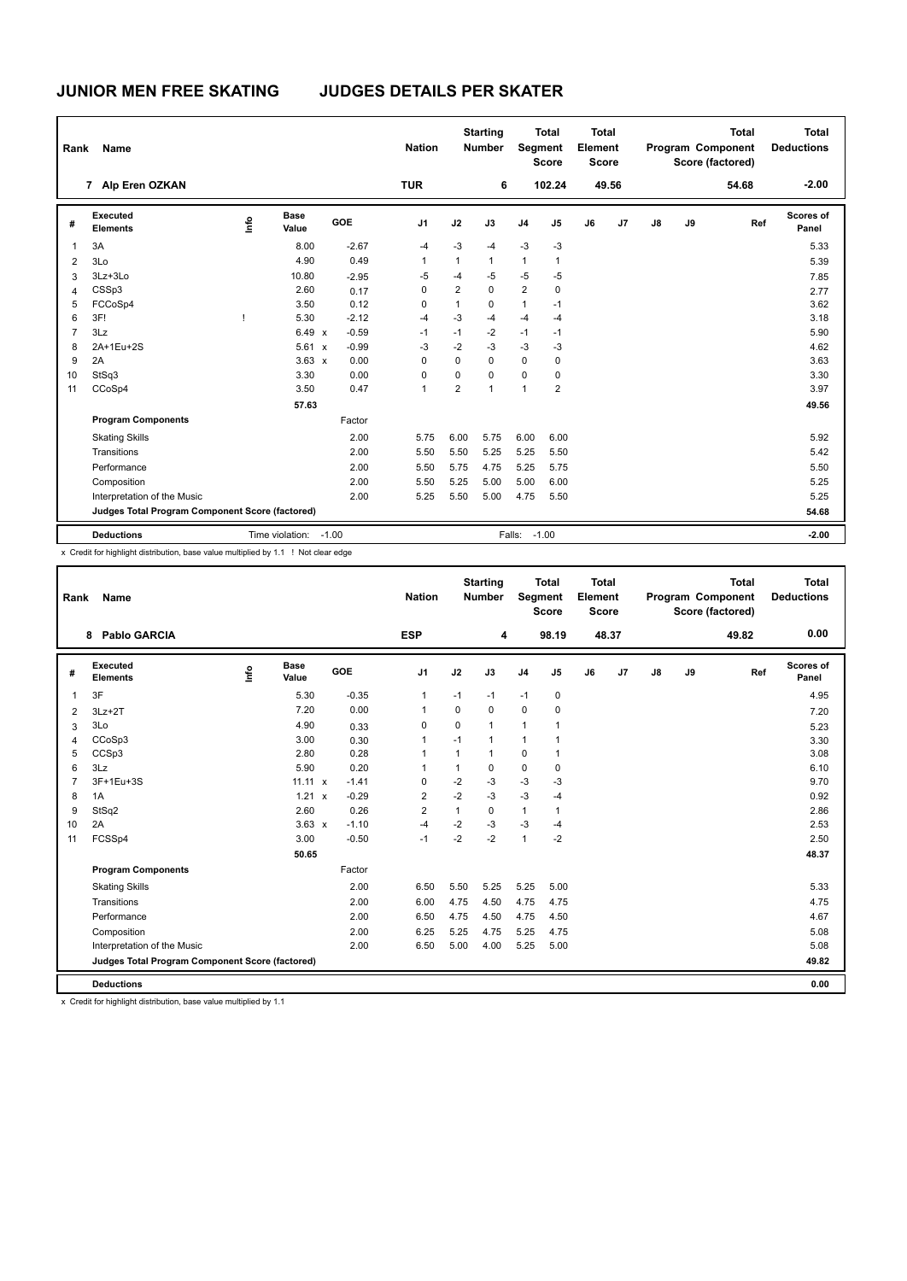| <b>TUR</b><br>6<br>102.24<br>49.56<br>54.68<br>7 Alp Eren OZKAN<br>Executed<br><b>Base</b><br>١m<br><b>GOE</b><br>J2<br>J7<br>J9<br>J <sub>1</sub><br>J3<br>J <sub>4</sub><br>J5<br>J6<br>$\mathsf{J}8$<br>Ref<br>#<br><b>Elements</b><br>Value<br>$-3$<br>$-3$<br>$-3$<br>3A<br>8.00<br>$-2.67$<br>-4<br>$-4$<br>$\overline{1}$<br>4.90<br>0.49<br>1<br>$\mathbf{1}$<br>$\mathbf{1}$<br>1<br>1<br>3Lo<br>$\overline{2}$<br>$-5$<br>$-5$<br>3Lz+3Lo<br>10.80<br>$-5$<br>$-4$<br>$-2.95$<br>-5<br>3<br>2<br>$\overline{2}$<br>CSSp3<br>2.60<br>$\mathbf 0$<br>$\mathbf 0$<br>0<br>0.17<br>$\overline{4}$ | <b>Total</b><br><b>Deductions</b> |
|---------------------------------------------------------------------------------------------------------------------------------------------------------------------------------------------------------------------------------------------------------------------------------------------------------------------------------------------------------------------------------------------------------------------------------------------------------------------------------------------------------------------------------------------------------------------------------------------------------|-----------------------------------|
|                                                                                                                                                                                                                                                                                                                                                                                                                                                                                                                                                                                                         | $-2.00$                           |
|                                                                                                                                                                                                                                                                                                                                                                                                                                                                                                                                                                                                         | Scores of<br>Panel                |
|                                                                                                                                                                                                                                                                                                                                                                                                                                                                                                                                                                                                         | 5.33                              |
|                                                                                                                                                                                                                                                                                                                                                                                                                                                                                                                                                                                                         | 5.39                              |
|                                                                                                                                                                                                                                                                                                                                                                                                                                                                                                                                                                                                         | 7.85                              |
|                                                                                                                                                                                                                                                                                                                                                                                                                                                                                                                                                                                                         | 2.77                              |
| FCCoSp4<br>0.12<br>$\mathbf{1}$<br>5<br>3.50<br>0<br>0<br>$\mathbf{1}$<br>$-1$                                                                                                                                                                                                                                                                                                                                                                                                                                                                                                                          | 3.62                              |
| 3F!<br>$-2.12$<br>$-3$<br>$-4$<br>5.30<br>6<br>$-4$<br>-4<br>$-4$                                                                                                                                                                                                                                                                                                                                                                                                                                                                                                                                       | 3.18                              |
| 6.49 x<br>$\overline{7}$<br>3Lz<br>$-0.59$<br>$-1$<br>$-2$<br>$-1$<br>$-1$<br>$-1$                                                                                                                                                                                                                                                                                                                                                                                                                                                                                                                      | 5.90                              |
| 2A+1Eu+2S<br>5.61<br>$-3$<br>$-2$<br>$-3$<br>$-0.99$<br>-3<br>$-3$<br>8<br>$\boldsymbol{\mathsf{x}}$                                                                                                                                                                                                                                                                                                                                                                                                                                                                                                    | 4.62                              |
| $\overline{0}$<br>$\mathbf 0$<br>2A<br>$3.63 \times$<br>$\mathbf 0$<br>0<br>9<br>0.00<br>0                                                                                                                                                                                                                                                                                                                                                                                                                                                                                                              | 3.63                              |
| $\mathbf 0$<br>$\mathbf 0$<br>StSq3<br>3.30<br>0.00<br>0<br>$\mathbf 0$<br>$\mathbf 0$<br>10                                                                                                                                                                                                                                                                                                                                                                                                                                                                                                            | 3.30                              |
| $\overline{2}$<br>$\overline{2}$<br>0.47<br>$\overline{1}$<br>CCoSp4<br>3.50<br>$\mathbf{1}$<br>11<br>1                                                                                                                                                                                                                                                                                                                                                                                                                                                                                                 | 3.97                              |
| 57.63                                                                                                                                                                                                                                                                                                                                                                                                                                                                                                                                                                                                   | 49.56                             |
| <b>Program Components</b><br>Factor                                                                                                                                                                                                                                                                                                                                                                                                                                                                                                                                                                     |                                   |
| 2.00<br>6.00<br>5.75<br>6.00<br>6.00<br><b>Skating Skills</b><br>5.75                                                                                                                                                                                                                                                                                                                                                                                                                                                                                                                                   | 5.92                              |
| 2.00<br>5.50<br>5.50<br>5.25<br>5.25<br>5.50<br>Transitions                                                                                                                                                                                                                                                                                                                                                                                                                                                                                                                                             | 5.42                              |
| 5.25<br>5.75<br>Performance<br>2.00<br>5.50<br>5.75<br>4.75                                                                                                                                                                                                                                                                                                                                                                                                                                                                                                                                             | 5.50                              |
| Composition<br>2.00<br>5.50<br>5.25<br>5.00<br>5.00<br>6.00                                                                                                                                                                                                                                                                                                                                                                                                                                                                                                                                             | 5.25                              |
| Interpretation of the Music<br>2.00<br>5.50<br>5.00<br>4.75<br>5.50<br>5.25                                                                                                                                                                                                                                                                                                                                                                                                                                                                                                                             | 5.25                              |
| Judges Total Program Component Score (factored)                                                                                                                                                                                                                                                                                                                                                                                                                                                                                                                                                         | 54.68                             |
| $-1.00$<br>Time violation:<br>$-1.00$<br>Falls:<br><b>Deductions</b>                                                                                                                                                                                                                                                                                                                                                                                                                                                                                                                                    | $-2.00$                           |

x Credit for highlight distribution, base value multiplied by 1.1 ! Not clear edge

| Rank           | Name                                            |      |                      |                         | <b>Nation</b>  |              | <b>Starting</b><br><b>Number</b> | Segment        | <b>Total</b><br><b>Score</b> | Total<br>Element<br><b>Score</b> |       |               |    | <b>Total</b><br>Program Component<br>Score (factored) | <b>Total</b><br><b>Deductions</b> |
|----------------|-------------------------------------------------|------|----------------------|-------------------------|----------------|--------------|----------------------------------|----------------|------------------------------|----------------------------------|-------|---------------|----|-------------------------------------------------------|-----------------------------------|
|                | <b>Pablo GARCIA</b><br>8                        |      |                      |                         | <b>ESP</b>     |              | 4                                |                | 98.19                        |                                  | 48.37 |               |    | 49.82                                                 | 0.00                              |
| #              | Executed<br><b>Elements</b>                     | ١nfo | <b>Base</b><br>Value | <b>GOE</b>              | J <sub>1</sub> | J2           | J3                               | J <sub>4</sub> | J5                           | J6                               | J7    | $\mathsf{J}8$ | J9 | Ref                                                   | <b>Scores of</b><br>Panel         |
| $\overline{1}$ | 3F                                              |      | 5.30                 | $-0.35$                 | $\mathbf{1}$   | $-1$         | $-1$                             | $-1$           | 0                            |                                  |       |               |    |                                                       | 4.95                              |
| 2              | $3Lz + 2T$                                      |      | 7.20                 | 0.00                    | $\mathbf{1}$   | 0            | 0                                | $\mathbf 0$    | $\mathbf 0$                  |                                  |       |               |    |                                                       | 7.20                              |
| 3              | 3Lo                                             |      | 4.90                 | 0.33                    | 0              | 0            | 1                                | $\mathbf{1}$   | 1                            |                                  |       |               |    |                                                       | 5.23                              |
| $\overline{4}$ | CCoSp3                                          |      | 3.00                 | 0.30                    | $\mathbf{1}$   | $-1$         | 1                                | $\mathbf{1}$   | 1                            |                                  |       |               |    |                                                       | 3.30                              |
| 5              | CCSp3                                           |      | 2.80                 | 0.28                    | $\overline{1}$ | $\mathbf{1}$ | 1                                | $\mathbf 0$    | $\mathbf{1}$                 |                                  |       |               |    |                                                       | 3.08                              |
| 6              | 3Lz                                             |      | 5.90                 | 0.20                    | $\overline{1}$ | $\mathbf{1}$ | 0                                | $\mathbf 0$    | $\mathbf 0$                  |                                  |       |               |    |                                                       | 6.10                              |
| $\overline{7}$ | 3F+1Eu+3S                                       |      | $11.11 \times$       | $-1.41$                 | 0              | $-2$         | $-3$                             | $-3$           | $-3$                         |                                  |       |               |    |                                                       | 9.70                              |
| 8              | 1A                                              |      | 1.21                 | $-0.29$<br>$\mathsf{x}$ | $\overline{2}$ | $-2$         | $-3$                             | $-3$           | $-4$                         |                                  |       |               |    |                                                       | 0.92                              |
| 9              | StSq2                                           |      | 2.60                 | 0.26                    | $\overline{2}$ | $\mathbf{1}$ | $\Omega$                         | $\mathbf{1}$   | $\mathbf{1}$                 |                                  |       |               |    |                                                       | 2.86                              |
| 10             | 2A                                              |      | $3.63 \times$        | $-1.10$                 | $-4$           | $-2$         | $-3$                             | $-3$           | $-4$                         |                                  |       |               |    |                                                       | 2.53                              |
| 11             | FCSSp4                                          |      | 3.00                 | $-0.50$                 | $-1$           | $-2$         | $-2$                             | $\mathbf{1}$   | $-2$                         |                                  |       |               |    |                                                       | 2.50                              |
|                |                                                 |      | 50.65                |                         |                |              |                                  |                |                              |                                  |       |               |    |                                                       | 48.37                             |
|                | <b>Program Components</b>                       |      |                      | Factor                  |                |              |                                  |                |                              |                                  |       |               |    |                                                       |                                   |
|                | <b>Skating Skills</b>                           |      |                      | 2.00                    | 6.50           | 5.50         | 5.25                             | 5.25           | 5.00                         |                                  |       |               |    |                                                       | 5.33                              |
|                | Transitions                                     |      |                      | 2.00                    | 6.00           | 4.75         | 4.50                             | 4.75           | 4.75                         |                                  |       |               |    |                                                       | 4.75                              |
|                | Performance                                     |      |                      | 2.00                    | 6.50           | 4.75         | 4.50                             | 4.75           | 4.50                         |                                  |       |               |    |                                                       | 4.67                              |
|                | Composition                                     |      |                      | 2.00                    | 6.25           | 5.25         | 4.75                             | 5.25           | 4.75                         |                                  |       |               |    |                                                       | 5.08                              |
|                | Interpretation of the Music                     |      |                      | 2.00                    | 6.50           | 5.00         | 4.00                             | 5.25           | 5.00                         |                                  |       |               |    |                                                       | 5.08                              |
|                | Judges Total Program Component Score (factored) |      |                      |                         |                |              |                                  |                |                              |                                  |       |               |    |                                                       | 49.82                             |
|                | <b>Deductions</b>                               |      |                      |                         |                |              |                                  |                |                              |                                  |       |               |    |                                                       | 0.00                              |

x Credit for highlight distribution, base value multiplied by 1.1